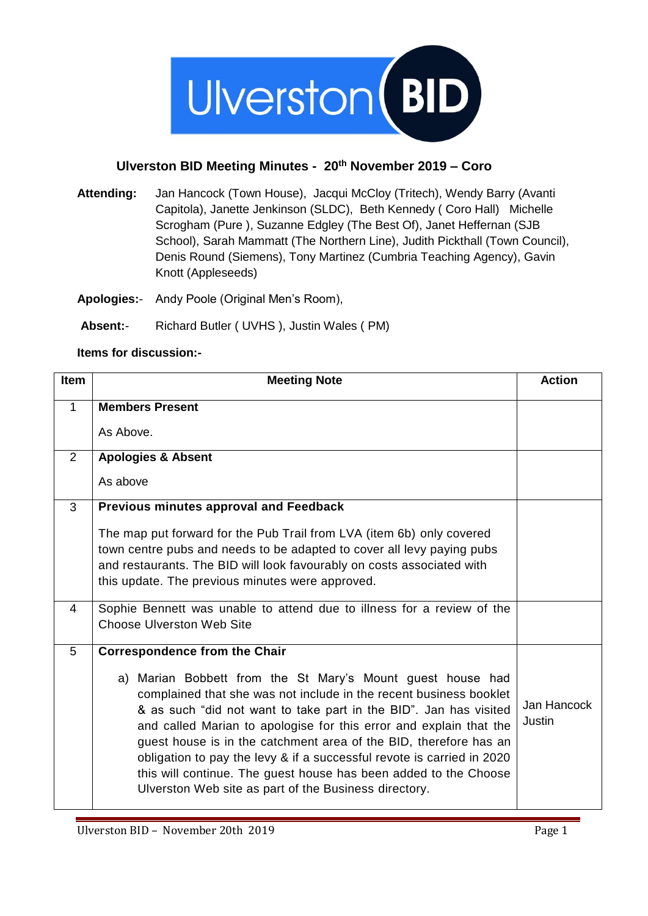

## **Ulverston BID Meeting Minutes - 20th November 2019 – Coro**

**Attending:** Jan Hancock (Town House), Jacqui McCloy (Tritech), Wendy Barry (Avanti Capitola), Janette Jenkinson (SLDC), Beth Kennedy ( Coro Hall) Michelle Scrogham (Pure ), Suzanne Edgley (The Best Of), Janet Heffernan (SJB School), Sarah Mammatt (The Northern Line), Judith Pickthall (Town Council), Denis Round (Siemens), Tony Martinez (Cumbria Teaching Agency), Gavin Knott (Appleseeds)

**Apologies:**- Andy Poole (Original Men's Room),

**Absent:**- Richard Butler ( UVHS ), Justin Wales ( PM)

## **Items for discussion:-**

| <b>Item</b>  | <b>Meeting Note</b>                                                                                                                                                                                                                                                                                                                                                                                                                                                                                                                                     | <b>Action</b>         |
|--------------|---------------------------------------------------------------------------------------------------------------------------------------------------------------------------------------------------------------------------------------------------------------------------------------------------------------------------------------------------------------------------------------------------------------------------------------------------------------------------------------------------------------------------------------------------------|-----------------------|
| $\mathbf{1}$ | <b>Members Present</b>                                                                                                                                                                                                                                                                                                                                                                                                                                                                                                                                  |                       |
|              | As Above.                                                                                                                                                                                                                                                                                                                                                                                                                                                                                                                                               |                       |
| 2            | <b>Apologies &amp; Absent</b>                                                                                                                                                                                                                                                                                                                                                                                                                                                                                                                           |                       |
|              | As above                                                                                                                                                                                                                                                                                                                                                                                                                                                                                                                                                |                       |
| 3            | Previous minutes approval and Feedback                                                                                                                                                                                                                                                                                                                                                                                                                                                                                                                  |                       |
|              | The map put forward for the Pub Trail from LVA (item 6b) only covered                                                                                                                                                                                                                                                                                                                                                                                                                                                                                   |                       |
|              | town centre pubs and needs to be adapted to cover all levy paying pubs                                                                                                                                                                                                                                                                                                                                                                                                                                                                                  |                       |
|              | and restaurants. The BID will look favourably on costs associated with<br>this update. The previous minutes were approved.                                                                                                                                                                                                                                                                                                                                                                                                                              |                       |
|              |                                                                                                                                                                                                                                                                                                                                                                                                                                                                                                                                                         |                       |
| 4            | Sophie Bennett was unable to attend due to illness for a review of the<br><b>Choose Ulverston Web Site</b>                                                                                                                                                                                                                                                                                                                                                                                                                                              |                       |
| 5            | <b>Correspondence from the Chair</b>                                                                                                                                                                                                                                                                                                                                                                                                                                                                                                                    |                       |
|              | a) Marian Bobbett from the St Mary's Mount guest house had<br>complained that she was not include in the recent business booklet<br>& as such "did not want to take part in the BID". Jan has visited<br>and called Marian to apologise for this error and explain that the<br>guest house is in the catchment area of the BID, therefore has an<br>obligation to pay the levy & if a successful revote is carried in 2020<br>this will continue. The guest house has been added to the Choose<br>Ulverston Web site as part of the Business directory. | Jan Hancock<br>Justin |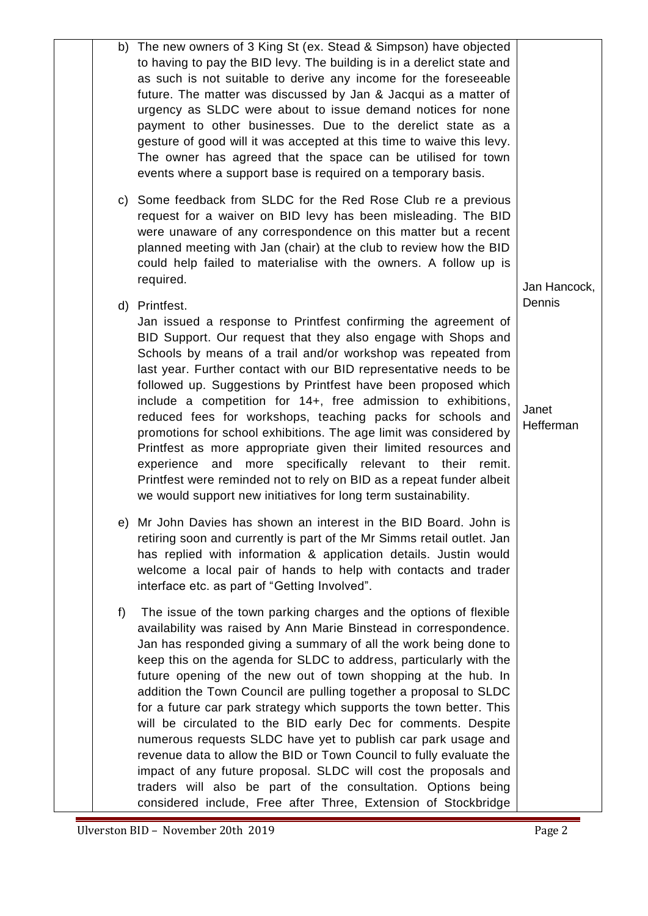|    | b) The new owners of 3 King St (ex. Stead & Simpson) have objected<br>to having to pay the BID levy. The building is in a derelict state and<br>as such is not suitable to derive any income for the foreseeable<br>future. The matter was discussed by Jan & Jacqui as a matter of<br>urgency as SLDC were about to issue demand notices for none<br>payment to other businesses. Due to the derelict state as a<br>gesture of good will it was accepted at this time to waive this levy.<br>The owner has agreed that the space can be utilised for town<br>events where a support base is required on a temporary basis.                                                                                                                                                                                                                                                                                |                              |
|----|------------------------------------------------------------------------------------------------------------------------------------------------------------------------------------------------------------------------------------------------------------------------------------------------------------------------------------------------------------------------------------------------------------------------------------------------------------------------------------------------------------------------------------------------------------------------------------------------------------------------------------------------------------------------------------------------------------------------------------------------------------------------------------------------------------------------------------------------------------------------------------------------------------|------------------------------|
|    | c) Some feedback from SLDC for the Red Rose Club re a previous<br>request for a waiver on BID levy has been misleading. The BID<br>were unaware of any correspondence on this matter but a recent<br>planned meeting with Jan (chair) at the club to review how the BID<br>could help failed to materialise with the owners. A follow up is<br>required.                                                                                                                                                                                                                                                                                                                                                                                                                                                                                                                                                   | Jan Hancock,                 |
|    | d) Printfest.<br>Jan issued a response to Printfest confirming the agreement of<br>BID Support. Our request that they also engage with Shops and<br>Schools by means of a trail and/or workshop was repeated from<br>last year. Further contact with our BID representative needs to be<br>followed up. Suggestions by Printfest have been proposed which<br>include a competition for 14+, free admission to exhibitions,<br>reduced fees for workshops, teaching packs for schools and<br>promotions for school exhibitions. The age limit was considered by<br>Printfest as more appropriate given their limited resources and<br>experience and<br>more specifically relevant to their remit.<br>Printfest were reminded not to rely on BID as a repeat funder albeit<br>we would support new initiatives for long term sustainability.                                                                | Dennis<br>Janet<br>Hefferman |
|    | e) Mr John Davies has shown an interest in the BID Board. John is<br>retiring soon and currently is part of the Mr Simms retail outlet. Jan<br>has replied with information & application details. Justin would<br>welcome a local pair of hands to help with contacts and trader<br>interface etc. as part of "Getting Involved".                                                                                                                                                                                                                                                                                                                                                                                                                                                                                                                                                                         |                              |
| f) | The issue of the town parking charges and the options of flexible<br>availability was raised by Ann Marie Binstead in correspondence.<br>Jan has responded giving a summary of all the work being done to<br>keep this on the agenda for SLDC to address, particularly with the<br>future opening of the new out of town shopping at the hub. In<br>addition the Town Council are pulling together a proposal to SLDC<br>for a future car park strategy which supports the town better. This<br>will be circulated to the BID early Dec for comments. Despite<br>numerous requests SLDC have yet to publish car park usage and<br>revenue data to allow the BID or Town Council to fully evaluate the<br>impact of any future proposal. SLDC will cost the proposals and<br>traders will also be part of the consultation. Options being<br>considered include, Free after Three, Extension of Stockbridge |                              |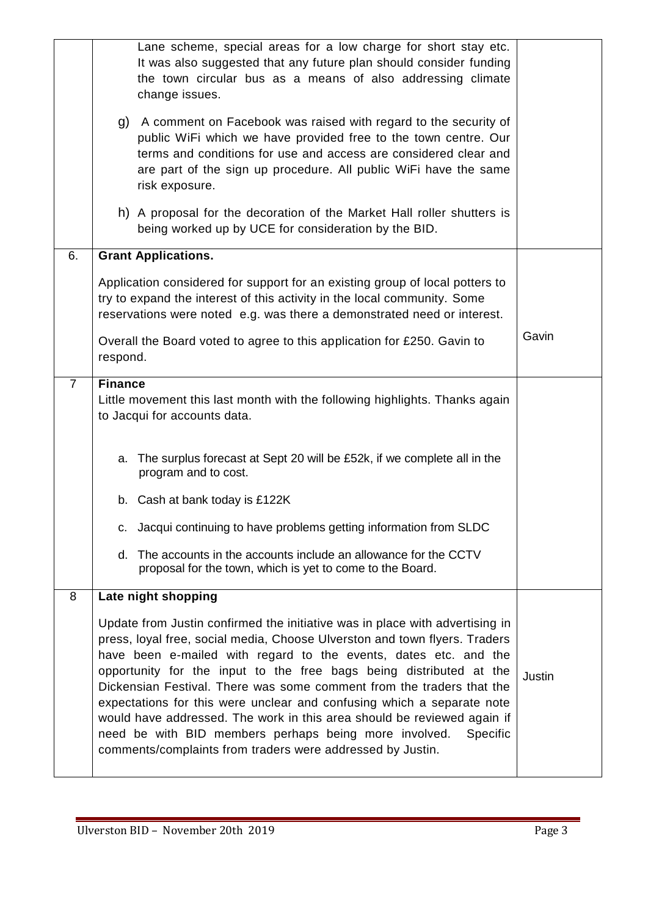|                | Lane scheme, special areas for a low charge for short stay etc.<br>It was also suggested that any future plan should consider funding<br>the town circular bus as a means of also addressing climate<br>change issues.<br>g) A comment on Facebook was raised with regard to the security of                                                                                                                                                                                                                                                                                                                                                                                  |        |
|----------------|-------------------------------------------------------------------------------------------------------------------------------------------------------------------------------------------------------------------------------------------------------------------------------------------------------------------------------------------------------------------------------------------------------------------------------------------------------------------------------------------------------------------------------------------------------------------------------------------------------------------------------------------------------------------------------|--------|
|                | public WiFi which we have provided free to the town centre. Our<br>terms and conditions for use and access are considered clear and<br>are part of the sign up procedure. All public WiFi have the same<br>risk exposure.                                                                                                                                                                                                                                                                                                                                                                                                                                                     |        |
|                | h) A proposal for the decoration of the Market Hall roller shutters is<br>being worked up by UCE for consideration by the BID.                                                                                                                                                                                                                                                                                                                                                                                                                                                                                                                                                |        |
| 6.             | <b>Grant Applications.</b>                                                                                                                                                                                                                                                                                                                                                                                                                                                                                                                                                                                                                                                    |        |
|                | Application considered for support for an existing group of local potters to<br>try to expand the interest of this activity in the local community. Some<br>reservations were noted e.g. was there a demonstrated need or interest.                                                                                                                                                                                                                                                                                                                                                                                                                                           |        |
|                | Overall the Board voted to agree to this application for £250. Gavin to<br>respond.                                                                                                                                                                                                                                                                                                                                                                                                                                                                                                                                                                                           | Gavin  |
| $\overline{7}$ | <b>Finance</b>                                                                                                                                                                                                                                                                                                                                                                                                                                                                                                                                                                                                                                                                |        |
|                | Little movement this last month with the following highlights. Thanks again<br>to Jacqui for accounts data.                                                                                                                                                                                                                                                                                                                                                                                                                                                                                                                                                                   |        |
|                | The surplus forecast at Sept 20 will be £52k, if we complete all in the<br>a.<br>program and to cost.                                                                                                                                                                                                                                                                                                                                                                                                                                                                                                                                                                         |        |
|                | b. Cash at bank today is £122K                                                                                                                                                                                                                                                                                                                                                                                                                                                                                                                                                                                                                                                |        |
|                | c. Jacqui continuing to have problems getting information from SLDC                                                                                                                                                                                                                                                                                                                                                                                                                                                                                                                                                                                                           |        |
|                | d. The accounts in the accounts include an allowance for the CCTV<br>proposal for the town, which is yet to come to the Board.                                                                                                                                                                                                                                                                                                                                                                                                                                                                                                                                                |        |
| 8              | Late night shopping                                                                                                                                                                                                                                                                                                                                                                                                                                                                                                                                                                                                                                                           |        |
|                | Update from Justin confirmed the initiative was in place with advertising in<br>press, loyal free, social media, Choose Ulverston and town flyers. Traders<br>have been e-mailed with regard to the events, dates etc. and the<br>opportunity for the input to the free bags being distributed at the<br>Dickensian Festival. There was some comment from the traders that the<br>expectations for this were unclear and confusing which a separate note<br>would have addressed. The work in this area should be reviewed again if<br>need be with BID members perhaps being more involved.<br><b>Specific</b><br>comments/complaints from traders were addressed by Justin. | Justin |
|                |                                                                                                                                                                                                                                                                                                                                                                                                                                                                                                                                                                                                                                                                               |        |